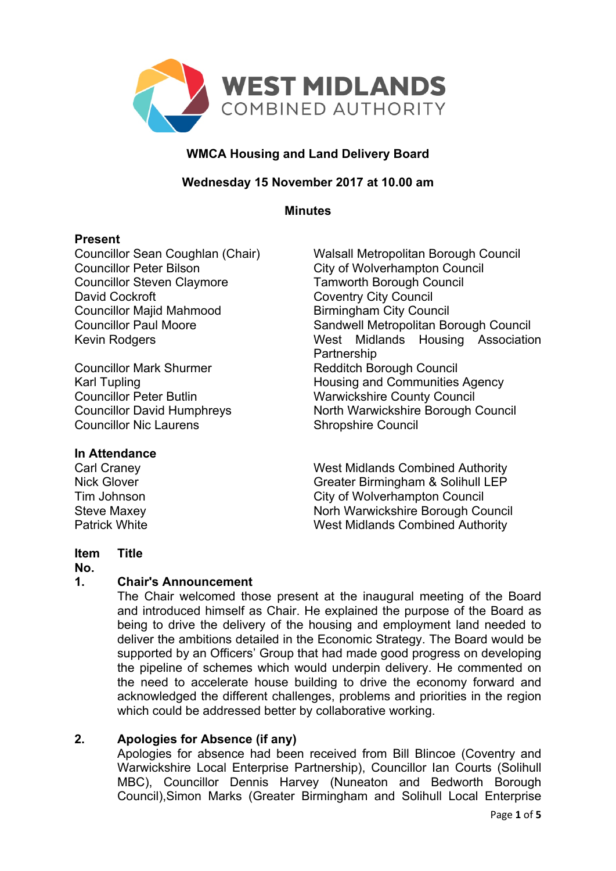

## **WMCA Housing and Land Delivery Board**

## **Wednesday 15 November 2017 at 10.00 am**

**Minutes**

## **Present**

Councillor Sean Coughlan (Chair) Walsall Metropolitan Borough Council Councillor Peter Bilson City of Wolverhampton Council Councillor Steven Claymore Tamworth Borough Council David Cockroft Coventry City Council Councillor Majid Mahmood Birmingham City Council

Councillor Mark Shurmer Redditch Borough Council **Councillor Nic Laurens** Council Shropshire Council

Councillor Paul Moore Sandwell Metropolitan Borough Council Kevin Rodgers **Midlands** Housing Association Partnership Karl Tupling **Housing and Communities Agency** Councillor Peter Butlin Warwickshire County Council Councillor David Humphreys North Warwickshire Borough Council

## **In Attendance**

Carl Craney West Midlands Combined Authority Nick Glover Greater Birmingham & Solihull LEP Tim Johnson City of Wolverhampton Council Steve Maxey Norh Warwickshire Borough Council Patrick White West Midlands Combined Authority

#### **Item Title**

## **No.**

# **1. Chair's Announcement**

The Chair welcomed those present at the inaugural meeting of the Board and introduced himself as Chair. He explained the purpose of the Board as being to drive the delivery of the housing and employment land needed to deliver the ambitions detailed in the Economic Strategy. The Board would be supported by an Officers' Group that had made good progress on developing the pipeline of schemes which would underpin delivery. He commented on the need to accelerate house building to drive the economy forward and acknowledged the different challenges, problems and priorities in the region which could be addressed better by collaborative working.

# **2. Apologies for Absence (if any)**

Apologies for absence had been received from Bill Blincoe (Coventry and Warwickshire Local Enterprise Partnership), Councillor Ian Courts (Solihull MBC), Councillor Dennis Harvey (Nuneaton and Bedworth Borough Council),Simon Marks (Greater Birmingham and Solihull Local Enterprise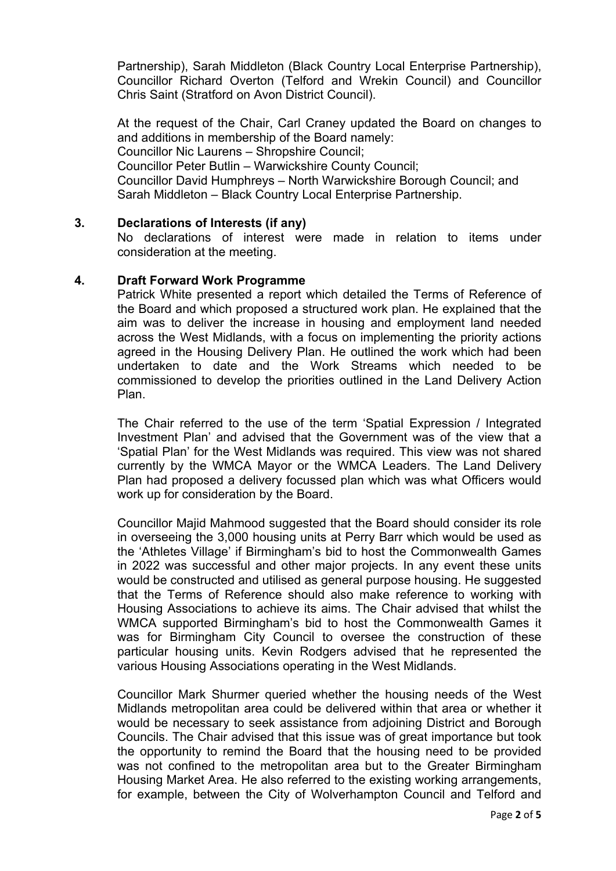Partnership), Sarah Middleton (Black Country Local Enterprise Partnership), Councillor Richard Overton (Telford and Wrekin Council) and Councillor Chris Saint (Stratford on Avon District Council).

At the request of the Chair, Carl Craney updated the Board on changes to and additions in membership of the Board namely: Councillor Nic Laurens – Shropshire Council; Councillor Peter Butlin – Warwickshire County Council; Councillor David Humphreys – North Warwickshire Borough Council; and Sarah Middleton – Black Country Local Enterprise Partnership.

#### **3. Declarations of Interests (if any)**

No declarations of interest were made in relation to items under consideration at the meeting.

#### **4. Draft Forward Work Programme**

Patrick White presented a report which detailed the Terms of Reference of the Board and which proposed a structured work plan. He explained that the aim was to deliver the increase in housing and employment land needed across the West Midlands, with a focus on implementing the priority actions agreed in the Housing Delivery Plan. He outlined the work which had been undertaken to date and the Work Streams which needed to be commissioned to develop the priorities outlined in the Land Delivery Action Plan.

The Chair referred to the use of the term 'Spatial Expression / Integrated Investment Plan' and advised that the Government was of the view that a 'Spatial Plan' for the West Midlands was required. This view was not shared currently by the WMCA Mayor or the WMCA Leaders. The Land Delivery Plan had proposed a delivery focussed plan which was what Officers would work up for consideration by the Board.

Councillor Majid Mahmood suggested that the Board should consider its role in overseeing the 3,000 housing units at Perry Barr which would be used as the 'Athletes Village' if Birmingham's bid to host the Commonwealth Games in 2022 was successful and other major projects. In any event these units would be constructed and utilised as general purpose housing. He suggested that the Terms of Reference should also make reference to working with Housing Associations to achieve its aims. The Chair advised that whilst the WMCA supported Birmingham's bid to host the Commonwealth Games it was for Birmingham City Council to oversee the construction of these particular housing units. Kevin Rodgers advised that he represented the various Housing Associations operating in the West Midlands.

Councillor Mark Shurmer queried whether the housing needs of the West Midlands metropolitan area could be delivered within that area or whether it would be necessary to seek assistance from adjoining District and Borough Councils. The Chair advised that this issue was of great importance but took the opportunity to remind the Board that the housing need to be provided was not confined to the metropolitan area but to the Greater Birmingham Housing Market Area. He also referred to the existing working arrangements, for example, between the City of Wolverhampton Council and Telford and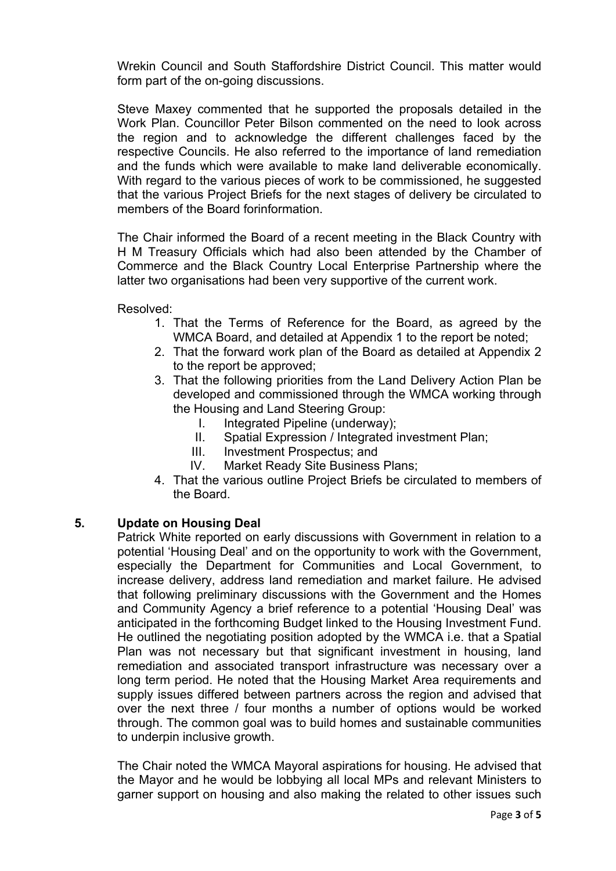Wrekin Council and South Staffordshire District Council. This matter would form part of the on-going discussions.

Steve Maxey commented that he supported the proposals detailed in the Work Plan. Councillor Peter Bilson commented on the need to look across the region and to acknowledge the different challenges faced by the respective Councils. He also referred to the importance of land remediation and the funds which were available to make land deliverable economically. With regard to the various pieces of work to be commissioned, he suggested that the various Project Briefs for the next stages of delivery be circulated to members of the Board forinformation.

The Chair informed the Board of a recent meeting in the Black Country with H M Treasury Officials which had also been attended by the Chamber of Commerce and the Black Country Local Enterprise Partnership where the latter two organisations had been very supportive of the current work.

Resolved:

- 1. That the Terms of Reference for the Board, as agreed by the WMCA Board, and detailed at Appendix 1 to the report be noted;
- 2. That the forward work plan of the Board as detailed at Appendix 2 to the report be approved;
- 3. That the following priorities from the Land Delivery Action Plan be developed and commissioned through the WMCA working through the Housing and Land Steering Group:
	- I. Integrated Pipeline (underway);
	- II. Spatial Expression / Integrated investment Plan;
	- III. Investment Prospectus; and
	- IV. Market Ready Site Business Plans;
- 4. That the various outline Project Briefs be circulated to members of the Board.

## **5. Update on Housing Deal**

Patrick White reported on early discussions with Government in relation to a potential 'Housing Deal' and on the opportunity to work with the Government, especially the Department for Communities and Local Government, to increase delivery, address land remediation and market failure. He advised that following preliminary discussions with the Government and the Homes and Community Agency a brief reference to a potential 'Housing Deal' was anticipated in the forthcoming Budget linked to the Housing Investment Fund. He outlined the negotiating position adopted by the WMCA i.e. that a Spatial Plan was not necessary but that significant investment in housing, land remediation and associated transport infrastructure was necessary over a long term period. He noted that the Housing Market Area requirements and supply issues differed between partners across the region and advised that over the next three / four months a number of options would be worked through. The common goal was to build homes and sustainable communities to underpin inclusive growth.

The Chair noted the WMCA Mayoral aspirations for housing. He advised that the Mayor and he would be lobbying all local MPs and relevant Ministers to garner support on housing and also making the related to other issues such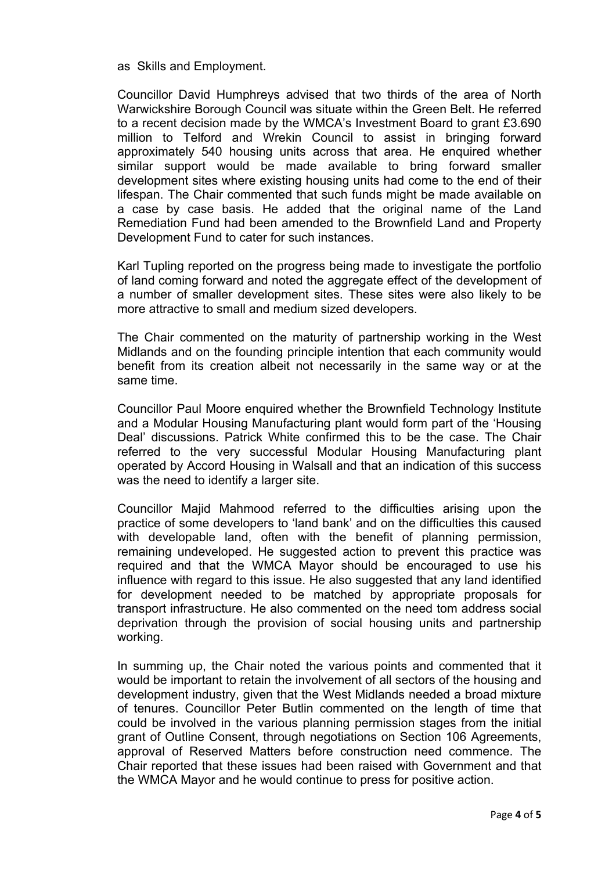as Skills and Employment.

Councillor David Humphreys advised that two thirds of the area of North Warwickshire Borough Council was situate within the Green Belt. He referred to a recent decision made by the WMCA's Investment Board to grant £3.690 million to Telford and Wrekin Council to assist in bringing forward approximately 540 housing units across that area. He enquired whether similar support would be made available to bring forward smaller development sites where existing housing units had come to the end of their lifespan. The Chair commented that such funds might be made available on a case by case basis. He added that the original name of the Land Remediation Fund had been amended to the Brownfield Land and Property Development Fund to cater for such instances.

Karl Tupling reported on the progress being made to investigate the portfolio of land coming forward and noted the aggregate effect of the development of a number of smaller development sites. These sites were also likely to be more attractive to small and medium sized developers.

The Chair commented on the maturity of partnership working in the West Midlands and on the founding principle intention that each community would benefit from its creation albeit not necessarily in the same way or at the same time.

Councillor Paul Moore enquired whether the Brownfield Technology Institute and a Modular Housing Manufacturing plant would form part of the 'Housing Deal' discussions. Patrick White confirmed this to be the case. The Chair referred to the very successful Modular Housing Manufacturing plant operated by Accord Housing in Walsall and that an indication of this success was the need to identify a larger site.

Councillor Majid Mahmood referred to the difficulties arising upon the practice of some developers to 'land bank' and on the difficulties this caused with developable land, often with the benefit of planning permission, remaining undeveloped. He suggested action to prevent this practice was required and that the WMCA Mayor should be encouraged to use his influence with regard to this issue. He also suggested that any land identified for development needed to be matched by appropriate proposals for transport infrastructure. He also commented on the need tom address social deprivation through the provision of social housing units and partnership working.

In summing up, the Chair noted the various points and commented that it would be important to retain the involvement of all sectors of the housing and development industry, given that the West Midlands needed a broad mixture of tenures. Councillor Peter Butlin commented on the length of time that could be involved in the various planning permission stages from the initial grant of Outline Consent, through negotiations on Section 106 Agreements, approval of Reserved Matters before construction need commence. The Chair reported that these issues had been raised with Government and that the WMCA Mayor and he would continue to press for positive action.